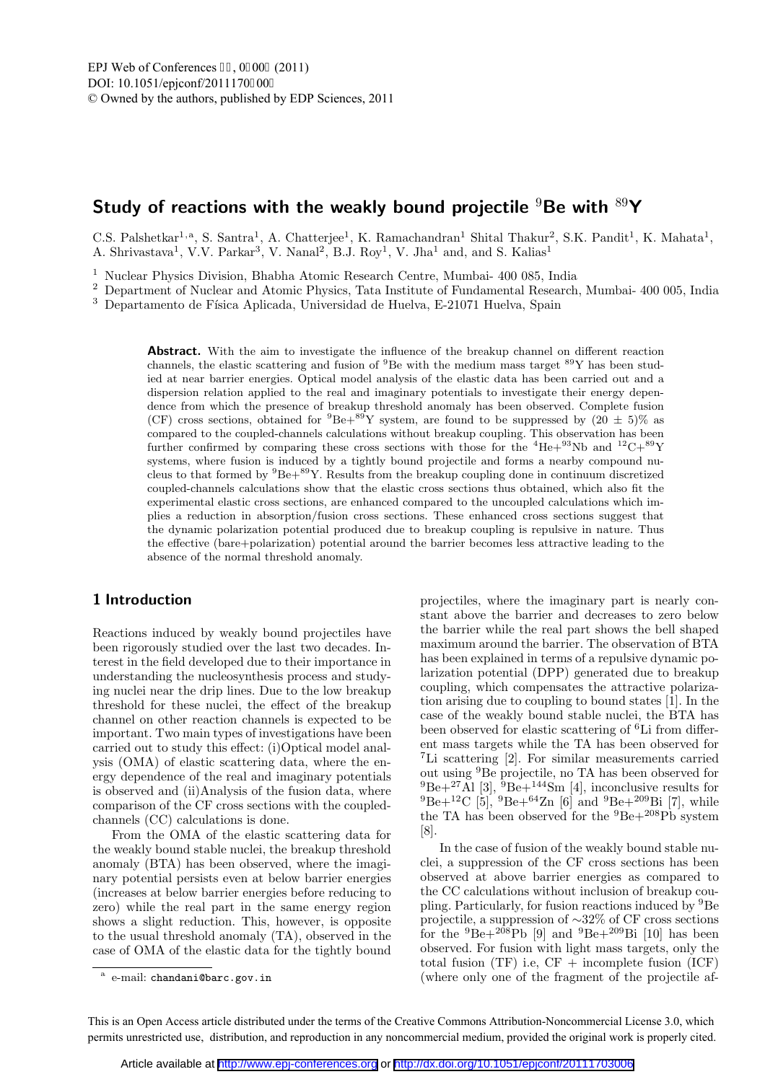# Study of reactions with the weakly bound projectile  $9Be$  with  $89Y$

C.S. Palshetkar<sup>1,a</sup>, S. Santra<sup>1</sup>, A. Chatterjee<sup>1</sup>, K. Ramachandran<sup>1</sup> Shital Thakur<sup>2</sup>, S.K. Pandit<sup>1</sup>, K. Mahata<sup>1</sup>, A. Shrivastava<sup>1</sup>, V.V. Parkar<sup>3</sup>, V. Nanal<sup>2</sup>, B.J. Roy<sup>1</sup>, V. Jha<sup>1</sup> and, and S. Kalias<sup>1</sup>

<sup>1</sup> Nuclear Physics Division, Bhabha Atomic Research Centre, Mumbai- 400 085, India

<sup>2</sup> Department of Nuclear and Atomic Physics, Tata Institute of Fundamental Research, Mumbai- 400 005, India

 $^3\,$  Departamento de Física Aplicada, Universidad de Huelva, E-21071 Huelva, Spain

Abstract. With the aim to investigate the influence of the breakup channel on different reaction channels, the elastic scattering and fusion of  ${}^{9}$ Be with the medium mass target  ${}^{89}Y$  has been studied at near barrier energies. Optical model analysis of the elastic data has been carried out and a dispersion relation applied to the real and imaginary potentials to investigate their energy dependence from which the presence of breakup threshold anomaly has been observed. Complete fusion (CF) cross sections, obtained for  ${}^{9}Be+{}^{89}Y$  system, are found to be suppressed by  $(20 \pm 5)\%$  as compared to the coupled-channels calculations without breakup coupling. This observation has been further confirmed by comparing these cross sections with those for the  ${}^{4}He+{}^{93}Nb$  and  ${}^{12}C+{}^{89}Y$ systems, where fusion is induced by a tightly bound projectile and forms a nearby compound nucleus to that formed by  ${}^{9}Be+{}^{89}Y$ . Results from the breakup coupling done in continuum discretized coupled-channels calculations show that the elastic cross sections thus obtained, which also fit the experimental elastic cross sections, are enhanced compared to the uncoupled calculations which implies a reduction in absorption/fusion cross sections. These enhanced cross sections suggest that the dynamic polarization potential produced due to breakup coupling is repulsive in nature. Thus the effective (bare+polarization) potential around the barrier becomes less attractive leading to the absence of the normal threshold anomaly.

#### 1 Introduction

Reactions induced by weakly bound projectiles have been rigorously studied over the last two decades. Interest in the field developed due to their importance in understanding the nucleosynthesis process and studying nuclei near the drip lines. Due to the low breakup threshold for these nuclei, the effect of the breakup channel on other reaction channels is expected to be important. Two main types of investigations have been carried out to study this effect: (i)Optical model analysis (OMA) of elastic scattering data, where the energy dependence of the real and imaginary potentials is observed and (ii)Analysis of the fusion data, where comparison of the CF cross sections with the coupledchannels (CC) calculations is done.

From the OMA of the elastic scattering data for the weakly bound stable nuclei, the breakup threshold anomaly (BTA) has been observed, where the imaginary potential persists even at below barrier energies (increases at below barrier energies before reducing to zero) while the real part in the same energy region shows a slight reduction. This, however, is opposite to the usual threshold anomaly (TA), observed in the case of OMA of the elastic data for the tightly bound projectiles, where the imaginary part is nearly constant above the barrier and decreases to zero below the barrier while the real part shows the bell shaped maximum around the barrier. The observation of BTA has been explained in terms of a repulsive dynamic polarization potential (DPP) generated due to breakup coupling, which compensates the attractive polarization arising due to coupling to bound states [1]. In the case of the weakly bound stable nuclei, the BTA has been observed for elastic scattering of <sup>6</sup>Li from different mass targets while the TA has been observed for <sup>7</sup>Li scattering [2]. For similar measurements carried out using <sup>9</sup>Be projectile, no TA has been observed for  ${}^{9}Be+{}^{27}A1$  [3],  ${}^{9}Be+{}^{144}Sm$  [4], inconclusive results for  ${}^{9}Be+{}^{12}C$  [5],  ${}^{9}Be+{}^{64}Zn$  [6] and  ${}^{9}Be+{}^{209}Bi$  [7], while the TA has been observed for the  ${}^{9}Be+{}^{208}Pb$  system [8].

In the case of fusion of the weakly bound stable nuclei, a suppression of the CF cross sections has been observed at above barrier energies as compared to the CC calculations without inclusion of breakup coupling. Particularly, for fusion reactions induced by <sup>9</sup>Be projectile, a suppression of ∼32% of CF cross sections for the  ${}^{9}Be+{}^{208}Pb$  [9] and  ${}^{9}Be+{}^{209}Bi$  [10] has been observed. For fusion with light mass targets, only the total fusion  $(TF)$  i.e,  $CF +$  incomplete fusion  $(ICF)$ (where only one of the fragment of the projectile af-

This is an Open Access article distributed under the terms of the Creative Commons Attribution-Noncommercial License 3.0, which permits unrestricted use, distribution, and reproduction in any noncommercial medium, provided the original work is properly cited.

<sup>&</sup>lt;sup>a</sup> e-mail: chandani@barc.gov.in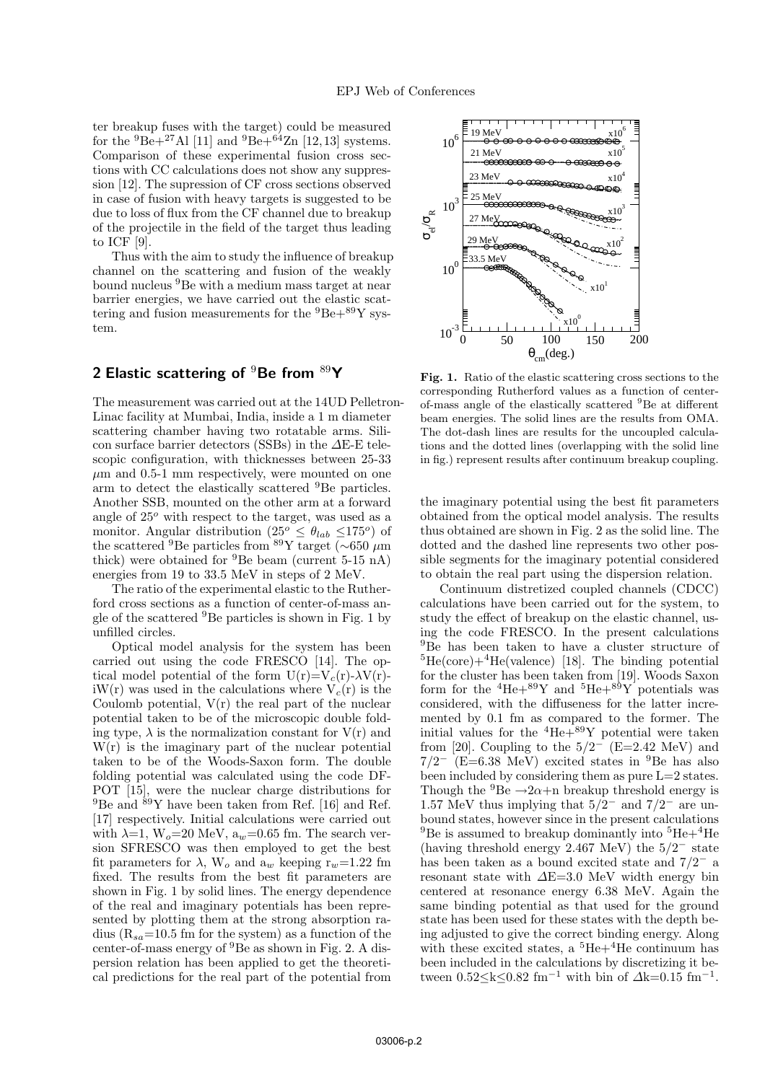ter breakup fuses with the target) could be measured for the  ${}^{9}Be+{}^{27}Al$  [11] and  ${}^{9}Be+{}^{64}Zn$  [12,13] systems. Comparison of these experimental fusion cross sections with CC calculations does not show any suppression [12]. The supression of CF cross sections observed in case of fusion with heavy targets is suggested to be due to loss of flux from the CF channel due to breakup of the projectile in the field of the target thus leading to ICF [9].

Thus with the aim to study the influence of breakup channel on the scattering and fusion of the weakly bound nucleus <sup>9</sup>Be with a medium mass target at near barrier energies, we have carried out the elastic scattering and fusion measurements for the  ${}^{9}Be+{}^{89}Y$  system.

## 2 Elastic scattering of  $9Be$  from  $89Y$

The measurement was carried out at the 14UD Pelletron-Linac facility at Mumbai, India, inside a 1 m diameter scattering chamber having two rotatable arms. Silicon surface barrier detectors (SSBs) in the ∆E-E telescopic configuration, with thicknesses between 25-33  $\mu$ m and 0.5-1 mm respectively, were mounted on one arm to detect the elastically scattered <sup>9</sup>Be particles. Another SSB, mounted on the other arm at a forward angle of  $25^{\circ}$  with respect to the target, was used as a monitor. Angular distribution  $(25^{\circ} \leq \theta_{lab} \leq 175^{\circ})$  of the scattered  $9^9$ Be particles from  $89$ Y target (~650 μm thick) were obtained for  ${}^{9}$ Be beam (current 5-15 nA) energies from 19 to 33.5 MeV in steps of 2 MeV.

The ratio of the experimental elastic to the Rutherford cross sections as a function of center-of-mass angle of the scattered  ${}^{9}$ Be particles is shown in Fig. 1 by unfilled circles.

Optical model analysis for the system has been carried out using the code FRESCO [14]. The optical model potential of the form  $U(r)=V_c(r)-\lambda V(r)$ iW(r) was used in the calculations where  $V_c(r)$  is the Coulomb potential,  $V(r)$  the real part of the nuclear potential taken to be of the microscopic double folding type,  $\lambda$  is the normalization constant for  $V(r)$  and  $W(r)$  is the imaginary part of the nuclear potential taken to be of the Woods-Saxon form. The double folding potential was calculated using the code DF-POT [15], were the nuclear charge distributions for  $^{9} \text{Be}$  and  $^{89} \text{Y}$  have been taken from Ref. [16] and Ref. [17] respectively. Initial calculations were carried out with  $\lambda=1$ ,  $W_o=20$  MeV,  $a_w=0.65$  fm. The search version SFRESCO was then employed to get the best fit parameters for  $\lambda$ , W<sub>o</sub> and  $a_w$  keeping  $r_w=1.22$  fm fixed. The results from the best fit parameters are shown in Fig. 1 by solid lines. The energy dependence of the real and imaginary potentials has been represented by plotting them at the strong absorption radius ( $R_{sa}=10.5$  fm for the system) as a function of the center-of-mass energy of <sup>9</sup>Be as shown in Fig. 2. A dispersion relation has been applied to get the theoretical predictions for the real part of the potential from



Fig. 1. Ratio of the elastic scattering cross sections to the corresponding Rutherford values as a function of centerof-mass angle of the elastically scattered <sup>9</sup>Be at different beam energies. The solid lines are the results from OMA. The dot-dash lines are results for the uncoupled calculations and the dotted lines (overlapping with the solid line in fig.) represent results after continuum breakup coupling.

the imaginary potential using the best fit parameters obtained from the optical model analysis. The results thus obtained are shown in Fig. 2 as the solid line. The dotted and the dashed line represents two other possible segments for the imaginary potential considered to obtain the real part using the dispersion relation.

Continuum distretized coupled channels (CDCC) calculations have been carried out for the system, to study the effect of breakup on the elastic channel, using the code FRESCO. In the present calculations <sup>9</sup>Be has been taken to have a cluster structure of  ${}^{5}He(core)+{}^{4}He(valence)$  [18]. The binding potential for the cluster has been taken from [19]. Woods Saxon form for the  ${}^{4}$ He+ ${}^{89}$ Y and  ${}^{5}$ He+ ${}^{89}$ Y potentials was considered, with the diffuseness for the latter incremented by 0.1 fm as compared to the former. The initial values for the  ${}^{4}$ He+ ${}^{89}$ Y potential were taken from [20]. Coupling to the  $5/2^-$  (E=2.42 MeV) and  $7/2^-$  (E=6.38 MeV) excited states in <sup>9</sup>Be has also been included by considering them as pure L=2 states. Though the  ${}^{9}Be \rightarrow 2\alpha + n$  breakup threshold energy is 1.57 MeV thus implying that  $5/2^-$  and  $7/2^-$  are unbound states, however since in the present calculations <sup>9</sup>Be is assumed to breakup dominantly into  ${}^{5}He+{}^{4}He$ (having threshold energy 2.467 MeV) the 5/2<sup>−</sup> state has been taken as a bound excited state and 7/2<sup>−</sup> a resonant state with ∆E=3.0 MeV width energy bin centered at resonance energy 6.38 MeV. Again the same binding potential as that used for the ground state has been used for these states with the depth being adjusted to give the correct binding energy. Along with these excited states, a  ${}^{5}He+{}^{4}He$  continuum has been included in the calculations by discretizing it between  $0.52 \le k \le 0.82$  fm<sup>-1</sup> with bin of  $\Delta k = 0.15$  fm<sup>-1</sup>.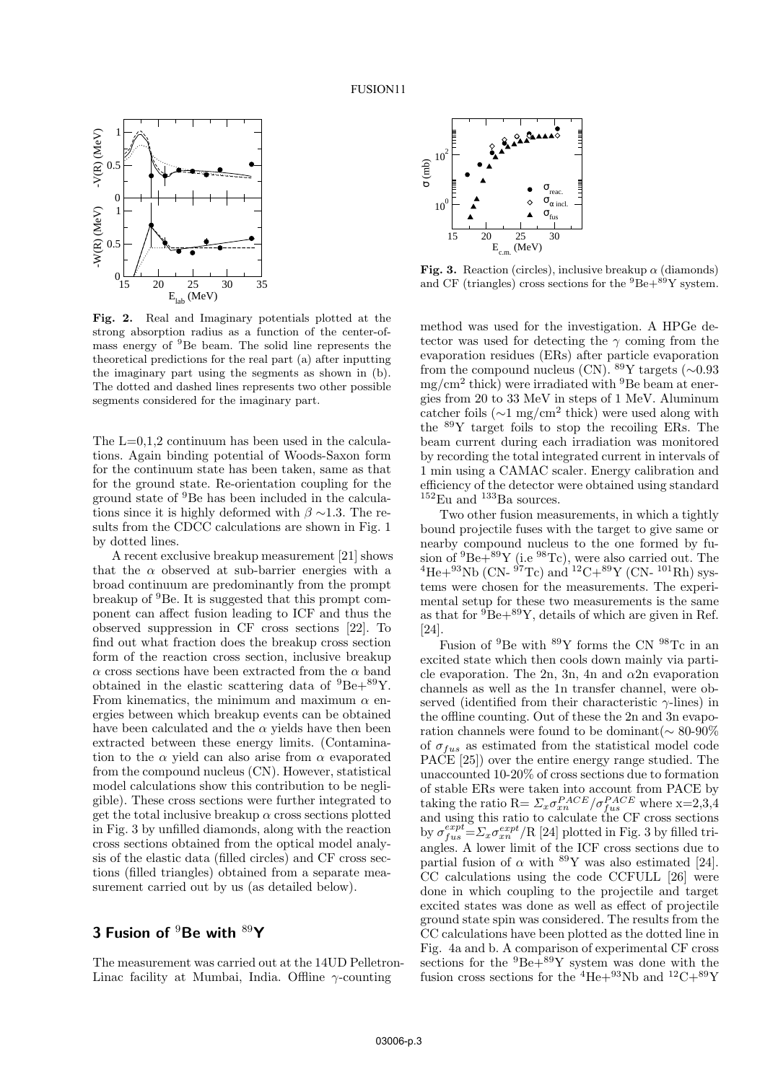

Fig. 2. Real and Imaginary potentials plotted at the strong absorption radius as a function of the center-ofmass energy of <sup>9</sup>Be beam. The solid line represents the theoretical predictions for the real part (a) after inputting the imaginary part using the segments as shown in (b). The dotted and dashed lines represents two other possible segments considered for the imaginary part.

The  $L=0,1,2$  continuum has been used in the calculations. Again binding potential of Woods-Saxon form for the continuum state has been taken, same as that for the ground state. Re-orientation coupling for the ground state of <sup>9</sup>Be has been included in the calculations since it is highly deformed with  $\beta \sim 1.3$ . The results from the CDCC calculations are shown in Fig. 1 by dotted lines.

A recent exclusive breakup measurement [21] shows that the  $\alpha$  observed at sub-barrier energies with a broad continuum are predominantly from the prompt breakup of <sup>9</sup>Be. It is suggested that this prompt component can affect fusion leading to ICF and thus the observed suppression in CF cross sections [22]. To find out what fraction does the breakup cross section form of the reaction cross section, inclusive breakup  $\alpha$  cross sections have been extracted from the  $\alpha$  band obtained in the elastic scattering data of  ${}^{9}Be+{}^{89}Y$ . From kinematics, the minimum and maximum  $\alpha$  energies between which breakup events can be obtained have been calculated and the  $\alpha$  yields have then been extracted between these energy limits. (Contamination to the  $\alpha$  yield can also arise from  $\alpha$  evaporated from the compound nucleus (CN). However, statistical model calculations show this contribution to be negligible). These cross sections were further integrated to get the total inclusive breakup  $\alpha$  cross sections plotted in Fig. 3 by unfilled diamonds, along with the reaction cross sections obtained from the optical model analysis of the elastic data (filled circles) and CF cross sections (filled triangles) obtained from a separate measurement carried out by us (as detailed below).

### 3 Fusion of  $9B$ e with  $89Y$

The measurement was carried out at the 14UD Pelletron-Linac facility at Mumbai, India. Offline  $\gamma$ -counting



Fig. 3. Reaction (circles), inclusive breakup  $\alpha$  (diamonds) and CF (triangles) cross sections for the  ${}^{9}Be+{}^{89}Y$  system.

method was used for the investigation. A HPGe detector was used for detecting the  $\gamma$  coming from the evaporation residues (ERs) after particle evaporation from the compound nucleus (CN).  $89$ Y targets (∼0.93 mg/cm<sup>2</sup> thick) were irradiated with <sup>9</sup>Be beam at energies from 20 to 33 MeV in steps of 1 MeV. Aluminum catcher foils  $(\sim 1 \text{ mg/cm}^2 \text{ thick})$  were used along with the  $89Y$  target foils to stop the recoiling ERs. The beam current during each irradiation was monitored by recording the total integrated current in intervals of 1 min using a CAMAC scaler. Energy calibration and efficiency of the detector were obtained using standard  ${}^{152}\text{Eu}$  and  ${}^{133}\text{Ba}$  sources.

Two other fusion measurements, in which a tightly bound projectile fuses with the target to give same or nearby compound nucleus to the one formed by fusion of  ${}^{9}Be+{}^{89}Y$  (i.e  ${}^{98}Te$ ), were also carried out. The  $^{4}$ He+ $^{93}$ Nb (CN- $^{97}$ Tc) and  $^{12}$ C+ $^{89}$ Y (CN- $^{101}$ Rh) systems were chosen for the measurements. The experimental setup for these two measurements is the same as that for  ${}^{9}Be+{}^{89}Y$ , details of which are given in Ref. [24].

Fusion of <sup>9</sup>Be with <sup>89</sup>Y forms the CN <sup>98</sup>Tc in an excited state which then cools down mainly via particle evaporation. The 2n, 3n, 4n and  $\alpha$ 2n evaporation channels as well as the 1n transfer channel, were observed (identified from their characteristic  $\gamma$ -lines) in the offline counting. Out of these the 2n and 3n evaporation channels were found to be dominant(∼ 80-90% of  $\sigma_{fus}$  as estimated from the statistical model code PACE [25]) over the entire energy range studied. The unaccounted 10-20% of cross sections due to formation of stable ERs were taken into account from PACE by taking the ratio  $\mathbf{R} = \sum_x \sigma_{xn}^{PACE} / \sigma_{fus}^{PACE}$  where  $\mathbf{x} = 2,3,4$ and using this ratio to calculate the CF cross sections by  $\sigma_{fus}^{expt} = \sum_{x} \sigma_{xn}^{expt} / R$  [24] plotted in Fig. 3 by filled triangles. A lower limit of the ICF cross sections due to partial fusion of  $\alpha$  with <sup>89</sup>Y was also estimated [24]. CC calculations using the code CCFULL [26] were done in which coupling to the projectile and target excited states was done as well as effect of projectile ground state spin was considered. The results from the CC calculations have been plotted as the dotted line in Fig. 4a and b. A comparison of experimental CF cross sections for the  ${}^{9}Be+{}^{89}Y$  system was done with the fusion cross sections for the  ${}^4\mathrm{He}{+}^{93}\mathrm{Nb}$  and  ${}^{12}\mathrm{C}{+}^{89}\mathrm{Y}$